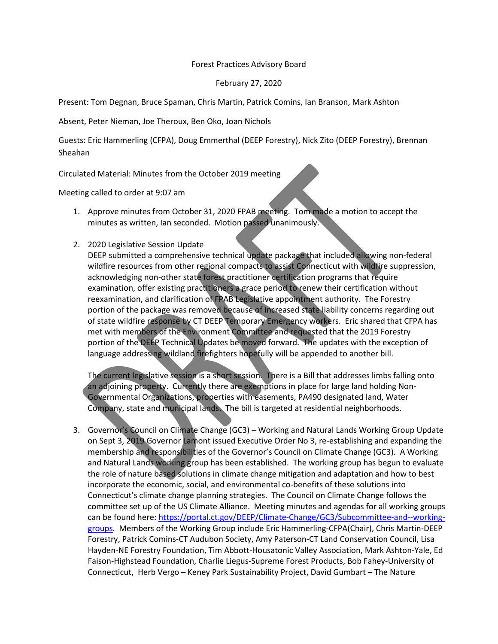### Forest Practices Advisory Board

### February 27, 2020

Present: Tom Degnan, Bruce Spaman, Chris Martin, Patrick Comins, Ian Branson, Mark Ashton

Absent, Peter Nieman, Joe Theroux, Ben Oko, Joan Nichols

Guests: Eric Hammerling (CFPA), Doug Emmerthal (DEEP Forestry), Nick Zito (DEEP Forestry), Brennan Sheahan

Circulated Material: Minutes from the October 2019 meeting

Meeting called to order at 9:07 am

1. Approve minutes from October 31, 2020 FPAB meeting. Tom made a motion to accept the minutes as written, Ian seconded. Motion passed unanimously.

## 2. 2020 Legislative Session Update

DEEP submitted a comprehensive technical update package that included allowing non-federal wildfire resources from other regional compacts to assist Connecticut with wildfire suppression, acknowledging non-other state forest practitioner certification programs that require examination, offer existing practitioners a grace period to renew their certification without reexamination, and clarification of FPAB Legislative appointment authority. The Forestry portion of the package was removed because of increased state liability concerns regarding out of state wildfire response by CT DEEP Temporary Emergency workers. Eric shared that CFPA has met with members of the Environment Committee and requested that the 2019 Forestry portion of the DEEP Technical Updates be moved forward. The updates with the exception of language addressing wildland firefighters hopefully will be appended to another bill.

The current legislative session is a short session. There is a Bill that addresses limbs falling onto an adjoining property. Currently there are exemptions in place for large land holding Non-Governmental Organizations, properties with easements, PA490 designated land, Water Company, state and municipal lands. The bill is targeted at residential neighborhoods.

3. Governor's Council on Climate Change (GC3) – Working and Natural Lands Working Group Update on Sept 3, 2019 Governor Lamont issued Executive Order No 3, re-establishing and expanding the membership and responsibilities of the Governor's Council on Climate Change (GC3). A Working and Natural Lands working group has been established. The working group has begun to evaluate the role of nature based solutions in climate change mitigation and adaptation and how to best incorporate the economic, social, and environmental co-benefits of these solutions into Connecticut's climate change planning strategies. The Council on Climate Change follows the committee set up of the US Climate Alliance. Meeting minutes and agendas for all working groups can be found here: [https://portal.ct.gov/DEEP/Climate-Change/GC3/Subcommittee-and--working](https://portal.ct.gov/DEEP/Climate-Change/GC3/Subcommittee-and--working-groups)[groups.](https://portal.ct.gov/DEEP/Climate-Change/GC3/Subcommittee-and--working-groups) Members of the Working Group include Eric Hammerling-CFPA(Chair), Chris Martin-DEEP Forestry, Patrick Comins-CT Audubon Society, Amy Paterson-CT Land Conservation Council, Lisa Hayden-NE Forestry Foundation, Tim Abbott-Housatonic Valley Association, Mark Ashton-Yale, Ed Faison-Highstead Foundation, Charlie Liegus-Supreme Forest Products, Bob Fahey-University of Connecticut, Herb Vergo – Keney Park Sustainability Project, David Gumbart – The Nature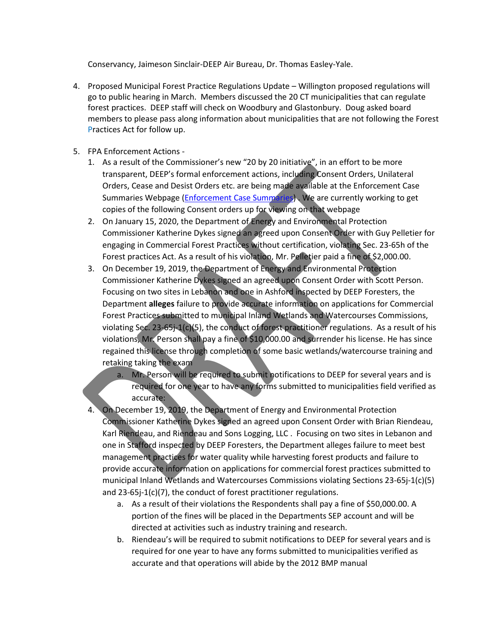Conservancy, Jaimeson Sinclair-DEEP Air Bureau, Dr. Thomas Easley-Yale.

- 4. Proposed Municipal Forest Practice Regulations Update Willington proposed regulations will go to public hearing in March. Members discussed the 20 CT municipalities that can regulate forest practices. DEEP staff will check on Woodbury and Glastonbury. Doug asked board members to please pass along information about municipalities that are not following the Forest Practices Act for follow up.
- 5. FPA Enforcement Actions
	- 1. As a result of the Commissioner's new "20 by 20 initiative", in an effort to be more transparent, DEEP's formal enforcement actions, including Consent Orders, Unilateral Orders, Cease and Desist Orders etc. are being made available at the Enforcement Case Summaries Webpage [\(Enforcement Case Summaries\)](https://www.depdata.ct.gov/enforcement/enfform.asp?deepNav=|). We are currently working to get copies of the following Consent orders up for viewing on that webpage
	- 2. On January 15, 2020, the Department of Energy and Environmental Protection Commissioner Katherine Dykes signed an agreed upon Consent Order with Guy Pelletier for engaging in Commercial Forest Practices without certification, violating Sec. 23-65h of the Forest practices Act. As a result of his violation, Mr. Pelletier paid a fine of \$2,000.00.
	- 3. On December 19, 2019, the Department of Energy and Environmental Protection Commissioner Katherine Dykes signed an agreed upon Consent Order with Scott Person. Focusing on two sites in Lebanon and one in Ashford inspected by DEEP Foresters, the Department **alleges** failure to provide accurate information on applications for Commercial Forest Practices submitted to municipal Inland Wetlands and Watercourses Commissions, violating Sec. 23-65j-1(c)(5), the conduct of forest practitioner regulations. As a result of his violations, Mr. Person shall pay a fine of \$10,000.00 and surrender his license. He has since regained this license through completion of some basic wetlands/watercourse training and retaking taking the exam
		- a. Mr. Person will be required to submit notifications to DEEP for several years and is required for one year to have any forms submitted to municipalities field verified as accurate:
	- 4. On December 19, 2019, the Department of Energy and Environmental Protection Commissioner Katherine Dykes signed an agreed upon Consent Order with Brian Riendeau, Karl Riendeau, and Riendeau and Sons Logging, LLC . Focusing on two sites in Lebanon and one in Stafford inspected by DEEP Foresters, the Department alleges failure to meet best management practices for water quality while harvesting forest products and failure to provide accurate information on applications for commercial forest practices submitted to municipal Inland Wetlands and Watercourses Commissions violating Sections 23-65j-1(c)(5) and 23-65j-1(c)(7), the conduct of forest practitioner regulations.
		- a. As a result of their violations the Respondents shall pay a fine of \$50,000.00. A portion of the fines will be placed in the Departments SEP account and will be directed at activities such as industry training and research.
		- b. Riendeau's will be required to submit notifications to DEEP for several years and is required for one year to have any forms submitted to municipalities verified as accurate and that operations will abide by the 2012 BMP manual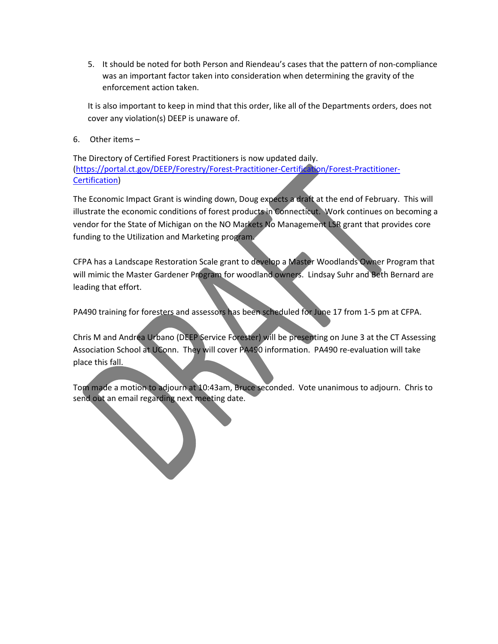5. It should be noted for both Person and Riendeau's cases that the pattern of non-compliance was an important factor taken into consideration when determining the gravity of the enforcement action taken.

It is also important to keep in mind that this order, like all of the Departments orders, does not cover any violation(s) DEEP is unaware of.

6. Other items –

The Directory of Certified Forest Practitioners is now updated daily. [\(https://portal.ct.gov/DEEP/Forestry/Forest-Practitioner-Certification/Forest-Practitioner-](https://portal.ct.gov/DEEP/Forestry/Forest-Practitioner-Certification/Forest-Practitioner-Certification)[Certification\)](https://portal.ct.gov/DEEP/Forestry/Forest-Practitioner-Certification/Forest-Practitioner-Certification)

The Economic Impact Grant is winding down, Doug expects a draft at the end of February. This will illustrate the economic conditions of forest products in Connecticut. Work continues on becoming a vendor for the State of Michigan on the NO Markets No Management LSR grant that provides core funding to the Utilization and Marketing program.

CFPA has a Landscape Restoration Scale grant to develop a Master Woodlands Owner Program that will mimic the Master Gardener Program for woodland owners. Lindsay Suhr and Beth Bernard are leading that effort.

PA490 training for foresters and assessors has been scheduled for June 17 from 1-5 pm at CFPA.

Chris M and Andrea Urbano (DEEP Service Forester) will be presenting on June 3 at the CT Assessing Association School at UConn. They will cover PA490 information. PA490 re-evaluation will take place this fall.

Tom made a motion to adjourn at 10:43am, Bruce seconded. Vote unanimous to adjourn. Chris to send out an email regarding next meeting date.